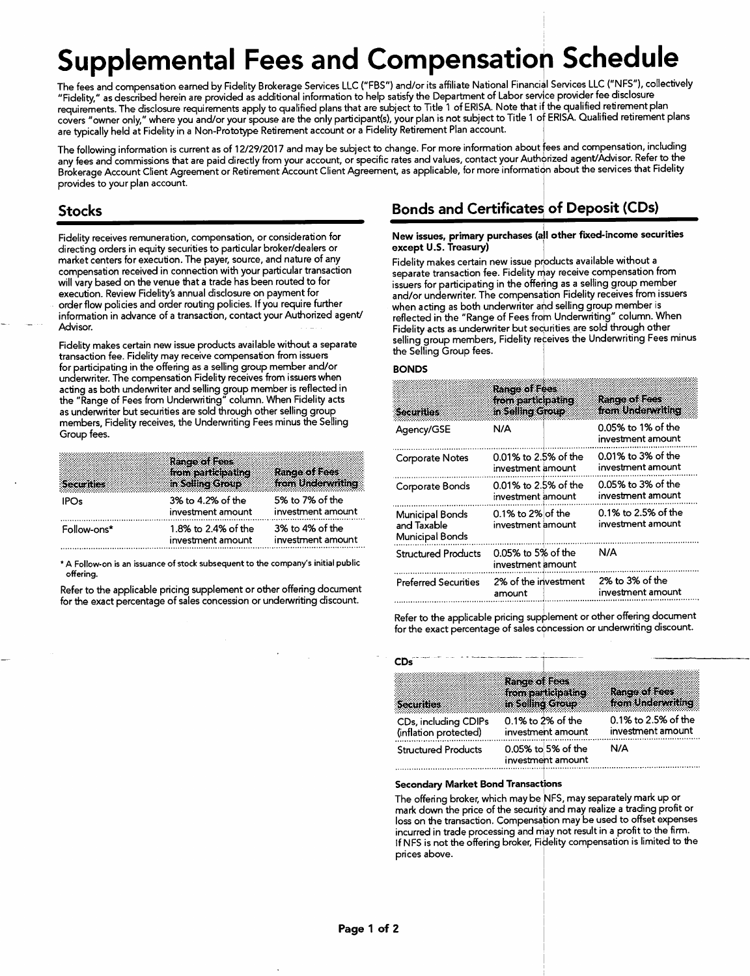# Supplemental Fees and Compensation Schedule

The fees and compensation earned by Fidelity Brokerage Services LLC ("FBS") and/or its affiliate National Financial Services LLC ("NFS"), collectively "Fidelity," as described herein are provided as additional information to help satisfy the Department of Labor servjce provider fee disclosure requirements. The disclosure requirements apply to qualified plans that are subject to Title 1 of ERISA. Note that if the qualified retirement plan covers "owner only," where you and/or your spouse are the only participant(s), your plan is not subject to Title 1 of ERISA. Qualified retirement plans are typically held at Fidelity in a Non-Prototype Retirement account or a Fidelity Retirement Plan account.

The following information is current as of 12/29/2017 and may be subject to change. For more information about fees and compensation, including any fees and commissions that are paid directly from your account, or specific rates and values, contact your Authorized agent/Advisor. Refer to the Brokerage Account Client Agreement or Retirement Account Client Agreement, as applicable, for more information about the services that Fidelity provides to your plan account.

## Stocks

Fidelity receives remuneration, compensation, or consideration for directing orders in equity securities to particular broker/dealers or market centers for execution. The payer, source, and nature of any compensation received in connection with your particular transaction will vary based on the venue that a trade has been routed to for execution. Review Fidelity's annual disclosure on payment for order flow policies and order routing policies. If you require further information in advance of a transaction, contact your Authorized agent/ Advisor.

Fidelity makes certain new issue products available without a separate transaction fee. Fidelity may receive compensation from issuers for participating in the offering as a selling group member and/or underwriter. The compensation Fidelity receives from issuers when acting as both underwriter and selling group member is reflected in the "Range of Fees from Underwriting" column. When Fidelity acts as underwriter but securities are sold through other selling group members, Fidelity receives, the Underwriting Fees minus the Selling Group fees.

| Securities  | Range of Fees<br>from participating<br>in Selling Group | <b>Range of Fees</b><br>from Underwriting |
|-------------|---------------------------------------------------------|-------------------------------------------|
| IPOs        | 3% to 4.2% of the<br>investment amount                  | 5% to 7% of the<br>investment amount      |
| Follow-ons* | 1.8% to 2.4% of the<br>investment amount                | 3% to 4% of the<br>investment amount      |

\* A Follow-on is an issuance of stock subsequent to the company's initial public offering.

Refer to the applicable pricing supplement or other offering document for the exact percentage of sales concession or underwriting discount.

## Bonds and Certificate^ of Deposit (CDs)

## <sup>I</sup> New issues, primary purchases (all other fixed-income securities except U.S. Treasury) |

Fidelity makes certain new issue products available without a separate transaction fee. Fidelity may receive compensation from issuers for participating in the offering as a selling group member and/or underwriter. The compensation Fidelity receives from issuers when acting as both underwriter and selling group member is reflected in the "Range of Fees frofn Underwriting" column. When Fidelity acts as undenwriter but securities are sold through other selling group members. Fidelity receives the Underwriting Fees minus the Selling Group fees.

#### BONDS

| Securition                                        | <b>Range of Fees</b><br>from participating<br>in Selling Group | Range of Fees<br>from Underwriting       |
|---------------------------------------------------|----------------------------------------------------------------|------------------------------------------|
| Agency/GSE                                        | N/A                                                            | 0.05% to 1% of the<br>investment amount  |
| <b>Corporate Notes</b>                            | 0.01% to 2.5% of the<br>investment amount                      | 0.01% to 3% of the<br>investment amount  |
| Corporate Bonds                                   | 0.01% to 2.5% of the<br>investment amount                      | 0.05% to 3% of the<br>investment amount  |
| Municipal Bonds<br>and Taxable<br>Municipal Bonds | 0.1% to 2% of the<br>investment amount                         | 0.1% to 2.5% of the<br>investment amount |
| <b>Structured Products</b>                        | 0.05% to 5% of the<br>investment amount                        | N/A                                      |
| <b>Preferred Securities</b>                       | 2% of the investment<br>amount                                 | 2% to 3% of the<br>investment amount     |

Refer to the applicable pricing supplement or other offering document for the exact percentage of sales cbncession or underwriting discount.

| CDs                                           |                                            |                                          |
|-----------------------------------------------|--------------------------------------------|------------------------------------------|
|                                               | <b>Range of Foes</b><br>from participating | Range of Hees                            |
| Securities                                    | in Selling Group                           | from Underwatting                        |
| CDs, including CDIPs<br>(inflation protected) | 0.1% to 2% of the<br>investment amount     | 0.1% to 2.5% of the<br>investment amount |
| <b>Structured Products</b>                    | 0.05% to 5% of the<br>investment amount    | N/A                                      |

#### Secondary Market Bond Transactions

The offering broker, which may be NFS, may separately mark up or mark down the price of the security and may realize a trading profit or loss on the transaction. Compensation may be used to offset expenses incurred in trade processing and may not result in a profit to the firm. If NFS is not the offering broker, Ficlelity compensation is limited to the prices above.